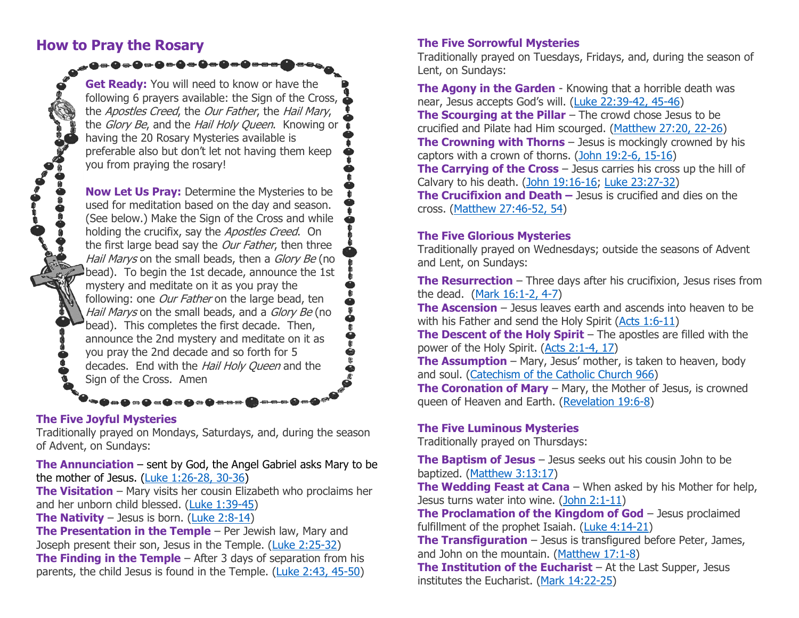## **How to Pray the Rosary**

**Get Ready:** You will need to know or have the following 6 prayers available: the Sign of the Cross, the Apostles Creed, the Our Father, the Hail Mary, the *Glory Be*, and the *Hail Holy Queen*. Knowing or having the 20 Rosary Mysteries available is preferable also but don't let not having them keep you from praying the rosary!

**De0e0ee**d

**Now Let Us Pray:** Determine the Mysteries to be used for meditation based on the day and season. (See below.) Make the Sign of the Cross and while holding the crucifix, say the Apostles Creed. On the first large bead say the Our Father, then three Hail Marys on the small beads, then a Glory Be (no bead). To begin the 1st decade, announce the 1st mystery and meditate on it as you pray the following: one Our Father on the large bead, ten Hail Marys on the small beads, and a Glory Be (no bead). This completes the first decade. Then, announce the 2nd mystery and meditate on it as you pray the 2nd decade and so forth for 5 decades. End with the Hail Holy Queen and the Sign of the Cross. Amen

#### **The Five Joyful Mysteries**

Traditionally prayed on Mondays, Saturdays, and, during the season of Advent, on Sundays:

▘█▅█▅█▅█▅█▅█<del>▅▅▅</del>██

**The Annunciation** – sent by God, the Angel Gabriel asks Mary to be the mother of Jesus. [\(Luke 1:26-28, 30-36\)](http://www.usccb.org/bible/luke/1:26)

**The Visitation** – Mary visits her cousin Elizabeth who proclaims her and her unborn child blessed. [\(Luke 1:39-45\)](http://www.usccb.org/bible/luke/1:39)

**The Nativity** – Jesus is born. [\(Luke 2:8-14\)](http://www.usccb.org/bible/luke/2:8)

**The Presentation in the Temple** – Per Jewish law, Mary and Joseph present their son, Jesus in the Temple. [\(Luke 2:25-32\)](http://www.usccb.org/bible/luke/2:25) **The Finding in the Temple** – After 3 days of separation from his parents, the child Jesus is found in the Temple. [\(Luke 2:43, 45-50\)](http://www.usccb.org/bible/luke/2:43)

#### **The Five Sorrowful Mysteries**

Traditionally prayed on Tuesdays, Fridays, and, during the season of Lent, on Sundays:

**The Agony in the Garden** - Knowing that a horrible death was near, Jesus accepts God's will. ([Luke 22:39-42, 45-46\)](http://www.usccb.org/bible/luke/22:39) **The Scourging at the Pillar** – The crowd chose Jesus to be crucified and Pilate had Him scourged. [\(Matthew 27:20, 22-26\)](http://www.usccb.org/bible/matthew/27:20) **The Crowning with Thorns** – Jesus is mockingly crowned by his captors with a crown of thorns. [\(John 19:2-6, 15-16\)](http://www.usccb.org/bible/john/19:2) **The Carrying of the Cross** – Jesus carries his cross up the hill of Calvary to his death. [\(John 19:16-16;](http://www.usccb.org/bible/john/19:16) [Luke 23:27-32\)](http://www.usccb.org/bible/luke/23:27) **The Crucifixion and Death –** Jesus is crucified and dies on the cross. [\(Matthew 27:46-52, 54\)](http://www.usccb.org/bible/matthew/27:46)

### **The Five Glorious Mysteries**

Traditionally prayed on Wednesdays; outside the seasons of Advent and Lent, on Sundays:

**The Resurrection** – Three days after his crucifixion, Jesus rises from the dead. [\(Mark 16:1-2, 4-7\)](http://www.usccb.org/bible/mark/16:1)

**The Ascension** – Jesus leaves earth and ascends into heaven to be with his Father and send the Holy Spirit [\(Acts 1:6-11\)](http://www.usccb.org/bible/Acts/1:6-11)

**The Descent of the Holy Spirit** – The apostles are filled with the power of the Holy Spirit. [\(Acts 2:1-4, 17\)](http://www.usccb.org/bible/acts/2:1)

**The Assumption** – Mary, Jesus' mother, is taken to heaven, body and soul. [\(Catechism of the Catholic Church 966\)](http://www.vatican.va/archive/ccc_css/archive/catechism/p123a9p6.htm)

**The Coronation of Mary** – Mary, the Mother of Jesus, is crowned queen of Heaven and Earth. [\(Revelation 19:6-8\)](http://www.usccb.org/bible/Revelation/19:6)

#### **The Five Luminous Mysteries**

Traditionally prayed on Thursdays:

**The Baptism of Jesus** – Jesus seeks out his cousin John to be baptized. [\(Matthew 3:13:17\)](http://www.usccb.org/bible/matthew/3:13)

**The Wedding Feast at Cana** – When asked by his Mother for help, Jesus turns water into wine. [\(John 2:1-11\)](http://www.usccb.org/bible/john/2:1)

**The Proclamation of the Kingdom of God** – Jesus proclaimed fulfillment of the prophet Isaiah. [\(Luke 4:14-21\)](http://www.usccb.org/bible/Luke/4:14)

**The Transfiguration** – Jesus is transfigured before Peter, James, and John on the mountain. [\(Matthew 17:1-8\)](http://www.usccb.org/bible/matthew/17:1)

**The Institution of the Eucharist** – At the Last Supper, Jesus institutes the Eucharist. [\(Mark 14:22-25\)](http://www.usccb.org/bible/mark/14:22)